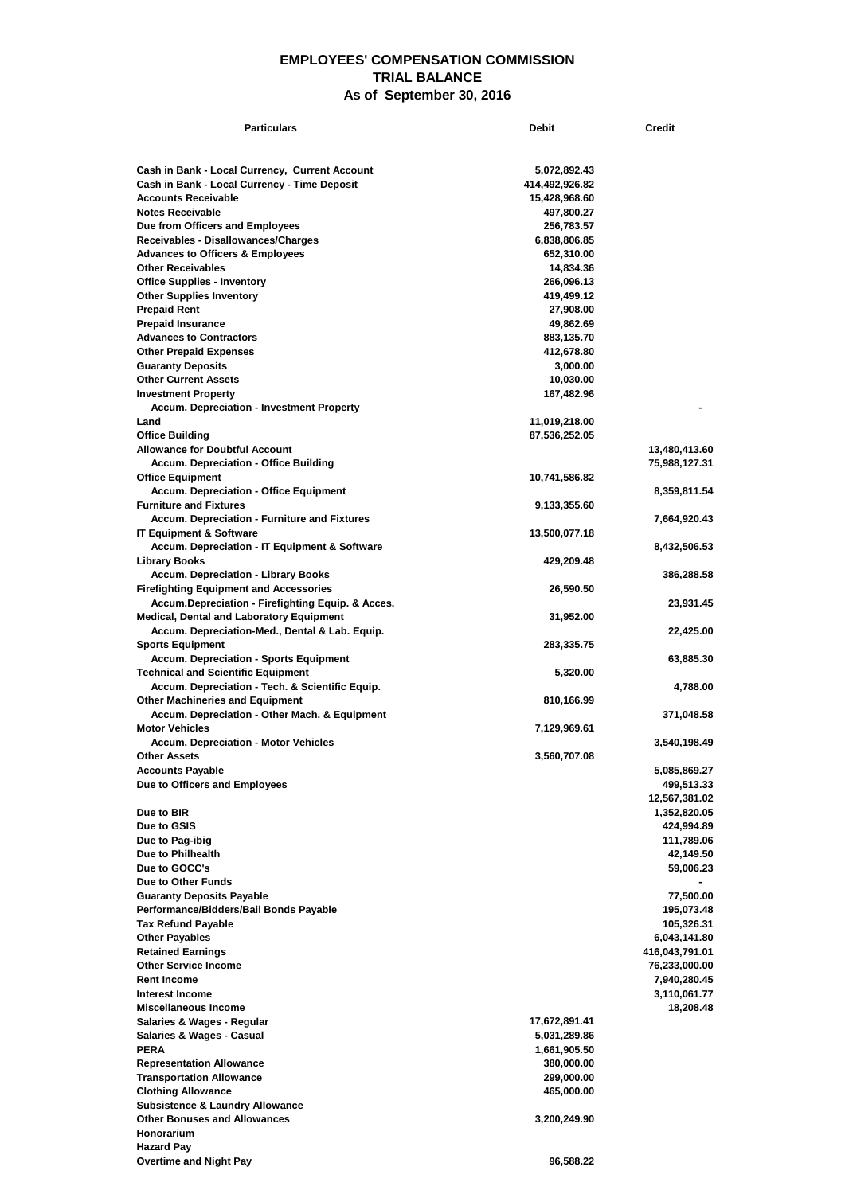## **EMPLOYEES' COMPENSATION COMMISSION TRIAL BALANCE As of September 30, 2016**

| <b>Particulars</b>                                                       | <b>Debit</b>                 | <b>Credit</b>                  |
|--------------------------------------------------------------------------|------------------------------|--------------------------------|
|                                                                          |                              |                                |
| Cash in Bank - Local Currency, Current Account                           | 5,072,892.43                 |                                |
| Cash in Bank - Local Currency - Time Deposit                             | 414,492,926.82               |                                |
| <b>Accounts Receivable</b>                                               | 15,428,968.60                |                                |
| <b>Notes Receivable</b>                                                  | 497,800.27                   |                                |
| Due from Officers and Employees<br>Receivables - Disallowances/Charges   | 256,783.57<br>6,838,806.85   |                                |
| <b>Advances to Officers &amp; Employees</b>                              | 652,310.00                   |                                |
| <b>Other Receivables</b>                                                 | 14,834.36                    |                                |
| <b>Office Supplies - Inventory</b>                                       | 266,096.13                   |                                |
| <b>Other Supplies Inventory</b>                                          | 419,499.12                   |                                |
| <b>Prepaid Rent</b>                                                      | 27,908.00                    |                                |
| <b>Prepaid Insurance</b><br><b>Advances to Contractors</b>               | 49,862.69<br>883,135.70      |                                |
| <b>Other Prepaid Expenses</b>                                            | 412,678.80                   |                                |
| <b>Guaranty Deposits</b>                                                 | 3,000.00                     |                                |
| <b>Other Current Assets</b>                                              | 10,030.00                    |                                |
| <b>Investment Property</b>                                               | 167,482.96                   |                                |
| <b>Accum. Depreciation - Investment Property</b>                         |                              |                                |
| Land<br><b>Office Building</b>                                           | 11,019,218.00                |                                |
| <b>Allowance for Doubtful Account</b>                                    | 87,536,252.05                | 13,480,413.60                  |
| <b>Accum. Depreciation - Office Building</b>                             |                              | 75,988,127.31                  |
| <b>Office Equipment</b>                                                  | 10,741,586.82                |                                |
| <b>Accum. Depreciation - Office Equipment</b>                            |                              | 8,359,811.54                   |
| <b>Furniture and Fixtures</b>                                            | 9,133,355.60                 |                                |
| <b>Accum. Depreciation - Furniture and Fixtures</b>                      |                              | 7,664,920.43                   |
| <b>IT Equipment &amp; Software</b>                                       | 13,500,077.18                |                                |
| Accum. Depreciation - IT Equipment & Software<br><b>Library Books</b>    | 429,209.48                   | 8,432,506.53                   |
| <b>Accum. Depreciation - Library Books</b>                               |                              | 386,288.58                     |
| <b>Firefighting Equipment and Accessories</b>                            | 26,590.50                    |                                |
| Accum.Depreciation - Firefighting Equip. & Acces.                        |                              | 23,931.45                      |
| Medical, Dental and Laboratory Equipment                                 | 31,952.00                    |                                |
| Accum. Depreciation-Med., Dental & Lab. Equip.                           |                              | 22,425.00                      |
| <b>Sports Equipment</b><br><b>Accum. Depreciation - Sports Equipment</b> | 283,335.75                   | 63,885.30                      |
| <b>Technical and Scientific Equipment</b>                                | 5,320.00                     |                                |
| Accum. Depreciation - Tech. & Scientific Equip.                          |                              | 4,788.00                       |
| <b>Other Machineries and Equipment</b>                                   | 810,166.99                   |                                |
| Accum. Depreciation - Other Mach. & Equipment                            |                              | 371,048.58                     |
| <b>Motor Vehicles</b>                                                    | 7,129,969.61                 |                                |
| <b>Accum. Depreciation - Motor Vehicles</b><br><b>Other Assets</b>       | 3,560,707.08                 | 3,540,198.49                   |
| <b>Accounts Payable</b>                                                  |                              | 5,085,869.27                   |
| Due to Officers and Employees                                            |                              | 499,513.33                     |
|                                                                          |                              | 12,567,381.02                  |
| Due to BIR                                                               |                              | 1,352,820.05                   |
| Due to GSIS                                                              |                              | 424,994.89                     |
| Due to Pag-ibig<br>Due to Philhealth                                     |                              | 111,789.06<br>42,149.50        |
| Due to GOCC's                                                            |                              | 59,006.23                      |
| Due to Other Funds                                                       |                              |                                |
| <b>Guaranty Deposits Payable</b>                                         |                              | 77,500.00                      |
| Performance/Bidders/Bail Bonds Payable                                   |                              | 195,073.48                     |
| <b>Tax Refund Payable</b>                                                |                              | 105,326.31                     |
| <b>Other Payables</b><br><b>Retained Earnings</b>                        |                              | 6,043,141.80<br>416,043,791.01 |
| <b>Other Service Income</b>                                              |                              | 76,233,000.00                  |
| <b>Rent Income</b>                                                       |                              | 7,940,280.45                   |
| Interest Income                                                          |                              | 3,110,061.77                   |
| Miscellaneous Income                                                     |                              | 18,208.48                      |
| Salaries & Wages - Regular                                               | 17,672,891.41                |                                |
| <b>Salaries &amp; Wages - Casual</b><br><b>PERA</b>                      | 5,031,289.86<br>1,661,905.50 |                                |
| <b>Representation Allowance</b>                                          | 380,000.00                   |                                |
| <b>Transportation Allowance</b>                                          | 299,000.00                   |                                |
| <b>Clothing Allowance</b>                                                | 465,000.00                   |                                |
| <b>Subsistence &amp; Laundry Allowance</b>                               |                              |                                |
| <b>Other Bonuses and Allowances</b>                                      | 3,200,249.90                 |                                |
| Honorarium<br><b>Hazard Pay</b>                                          |                              |                                |
| <b>Overtime and Night Pay</b>                                            | 96,588.22                    |                                |
|                                                                          |                              |                                |